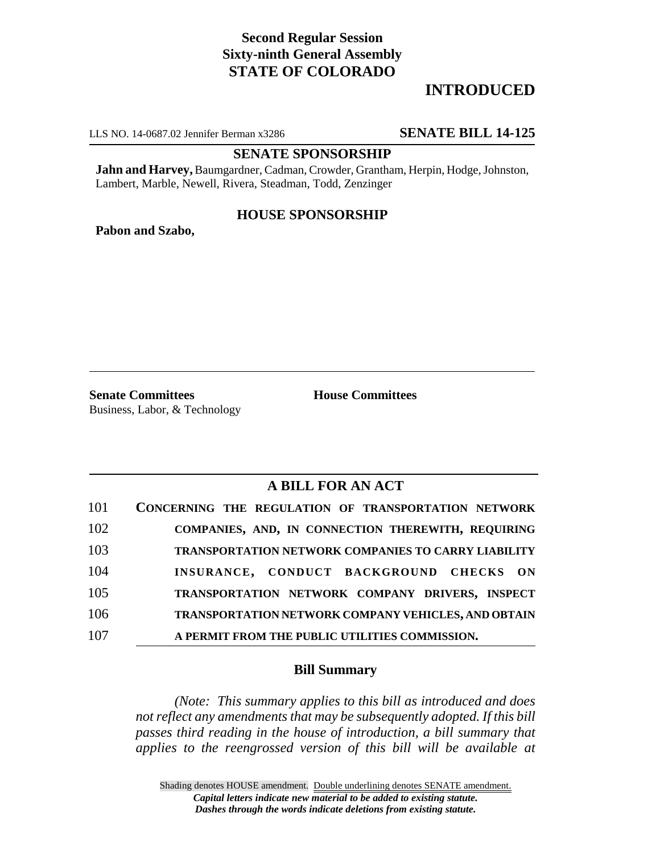# **Second Regular Session Sixty-ninth General Assembly STATE OF COLORADO**

# **INTRODUCED**

LLS NO. 14-0687.02 Jennifer Berman x3286 **SENATE BILL 14-125**

## **SENATE SPONSORSHIP**

**Jahn and Harvey,** Baumgardner, Cadman, Crowder, Grantham, Herpin, Hodge, Johnston, Lambert, Marble, Newell, Rivera, Steadman, Todd, Zenzinger

## **HOUSE SPONSORSHIP**

**Pabon and Szabo,**

**Senate Committees House Committees** Business, Labor, & Technology

# **A BILL FOR AN ACT**

| 101 | CONCERNING THE REGULATION OF TRANSPORTATION NETWORK |
|-----|-----------------------------------------------------|
| 102 | COMPANIES, AND, IN CONNECTION THEREWITH, REQUIRING  |
| 103 | TRANSPORTATION NETWORK COMPANIES TO CARRY LIABILITY |
| 104 | INSURANCE, CONDUCT BACKGROUND CHECKS ON             |
| 105 | TRANSPORTATION NETWORK COMPANY DRIVERS, INSPECT     |
| 106 | TRANSPORTATION NETWORK COMPANY VEHICLES, AND OBTAIN |
| 107 | A PERMIT FROM THE PUBLIC UTILITIES COMMISSION.      |

## **Bill Summary**

*(Note: This summary applies to this bill as introduced and does not reflect any amendments that may be subsequently adopted. If this bill passes third reading in the house of introduction, a bill summary that applies to the reengrossed version of this bill will be available at*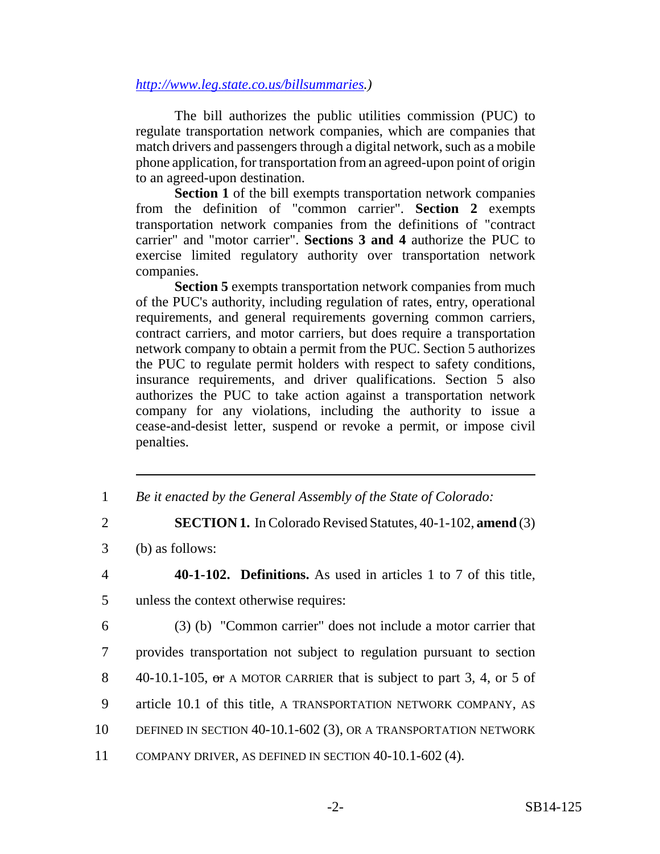#### *http://www.leg.state.co.us/billsummaries.)*

The bill authorizes the public utilities commission (PUC) to regulate transportation network companies, which are companies that match drivers and passengers through a digital network, such as a mobile phone application, for transportation from an agreed-upon point of origin to an agreed-upon destination.

**Section 1** of the bill exempts transportation network companies from the definition of "common carrier". **Section 2** exempts transportation network companies from the definitions of "contract carrier" and "motor carrier". **Sections 3 and 4** authorize the PUC to exercise limited regulatory authority over transportation network companies.

**Section 5** exempts transportation network companies from much of the PUC's authority, including regulation of rates, entry, operational requirements, and general requirements governing common carriers, contract carriers, and motor carriers, but does require a transportation network company to obtain a permit from the PUC. Section 5 authorizes the PUC to regulate permit holders with respect to safety conditions, insurance requirements, and driver qualifications. Section 5 also authorizes the PUC to take action against a transportation network company for any violations, including the authority to issue a cease-and-desist letter, suspend or revoke a permit, or impose civil penalties.

- 1 *Be it enacted by the General Assembly of the State of Colorado:*
- 2 **SECTION 1.** In Colorado Revised Statutes, 40-1-102, **amend** (3)
- 3 (b) as follows:
- 4 **40-1-102. Definitions.** As used in articles 1 to 7 of this title, 5 unless the context otherwise requires:
- 6 (3) (b) "Common carrier" does not include a motor carrier that 7 provides transportation not subject to regulation pursuant to section 8 40-10.1-105, or A MOTOR CARRIER that is subject to part 3, 4, or 5 of 9 article 10.1 of this title, A TRANSPORTATION NETWORK COMPANY, AS 10 DEFINED IN SECTION 40-10.1-602 (3), OR A TRANSPORTATION NETWORK 11 COMPANY DRIVER, AS DEFINED IN SECTION 40-10.1-602 (4).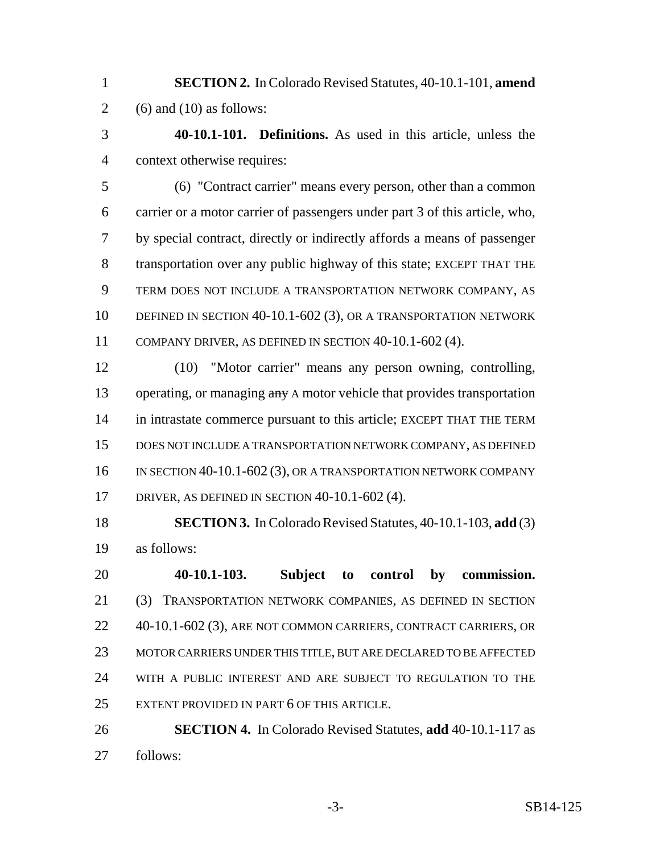- **SECTION 2.** In Colorado Revised Statutes, 40-10.1-101, **amend** 2 (6) and (10) as follows:
- **40-10.1-101. Definitions.** As used in this article, unless the context otherwise requires:

 (6) "Contract carrier" means every person, other than a common carrier or a motor carrier of passengers under part 3 of this article, who, by special contract, directly or indirectly affords a means of passenger transportation over any public highway of this state; EXCEPT THAT THE TERM DOES NOT INCLUDE A TRANSPORTATION NETWORK COMPANY, AS DEFINED IN SECTION 40-10.1-602 (3), OR A TRANSPORTATION NETWORK COMPANY DRIVER, AS DEFINED IN SECTION 40-10.1-602 (4).

 (10) "Motor carrier" means any person owning, controlling, 13 operating, or managing any A motor vehicle that provides transportation 14 in intrastate commerce pursuant to this article; EXCEPT THAT THE TERM DOES NOT INCLUDE A TRANSPORTATION NETWORK COMPANY, AS DEFINED 16 IN SECTION 40-10.1-602 (3), OR A TRANSPORTATION NETWORK COMPANY DRIVER, AS DEFINED IN SECTION 40-10.1-602 (4).

 **SECTION 3.** In Colorado Revised Statutes, 40-10.1-103, **add** (3) as follows:

 **40-10.1-103. Subject to control by commission.** (3) TRANSPORTATION NETWORK COMPANIES, AS DEFINED IN SECTION 22 40-10.1-602 (3), ARE NOT COMMON CARRIERS, CONTRACT CARRIERS, OR MOTOR CARRIERS UNDER THIS TITLE, BUT ARE DECLARED TO BE AFFECTED WITH A PUBLIC INTEREST AND ARE SUBJECT TO REGULATION TO THE EXTENT PROVIDED IN PART 6 OF THIS ARTICLE.

 **SECTION 4.** In Colorado Revised Statutes, **add** 40-10.1-117 as follows: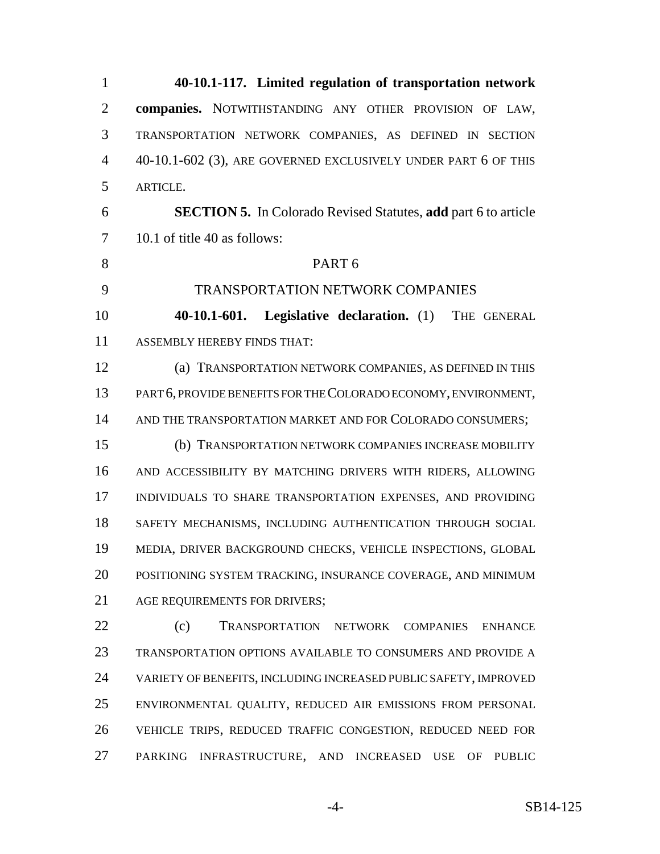**40-10.1-117. Limited regulation of transportation network companies.** NOTWITHSTANDING ANY OTHER PROVISION OF LAW, TRANSPORTATION NETWORK COMPANIES, AS DEFINED IN SECTION 40-10.1-602 (3), ARE GOVERNED EXCLUSIVELY UNDER PART 6 OF THIS ARTICLE. **SECTION 5.** In Colorado Revised Statutes, **add** part 6 to article 10.1 of title 40 as follows: PART 6 TRANSPORTATION NETWORK COMPANIES **40-10.1-601. Legislative declaration.** (1) THE GENERAL ASSEMBLY HEREBY FINDS THAT: (a) TRANSPORTATION NETWORK COMPANIES, AS DEFINED IN THIS PART 6, PROVIDE BENEFITS FOR THE COLORADO ECONOMY, ENVIRONMENT, 14 AND THE TRANSPORTATION MARKET AND FOR COLORADO CONSUMERS; (b) TRANSPORTATION NETWORK COMPANIES INCREASE MOBILITY AND ACCESSIBILITY BY MATCHING DRIVERS WITH RIDERS, ALLOWING INDIVIDUALS TO SHARE TRANSPORTATION EXPENSES, AND PROVIDING SAFETY MECHANISMS, INCLUDING AUTHENTICATION THROUGH SOCIAL MEDIA, DRIVER BACKGROUND CHECKS, VEHICLE INSPECTIONS, GLOBAL POSITIONING SYSTEM TRACKING, INSURANCE COVERAGE, AND MINIMUM 21 AGE REQUIREMENTS FOR DRIVERS; (c) TRANSPORTATION NETWORK COMPANIES ENHANCE TRANSPORTATION OPTIONS AVAILABLE TO CONSUMERS AND PROVIDE A VARIETY OF BENEFITS, INCLUDING INCREASED PUBLIC SAFETY, IMPROVED ENVIRONMENTAL QUALITY, REDUCED AIR EMISSIONS FROM PERSONAL VEHICLE TRIPS, REDUCED TRAFFIC CONGESTION, REDUCED NEED FOR PARKING INFRASTRUCTURE, AND INCREASED USE OF PUBLIC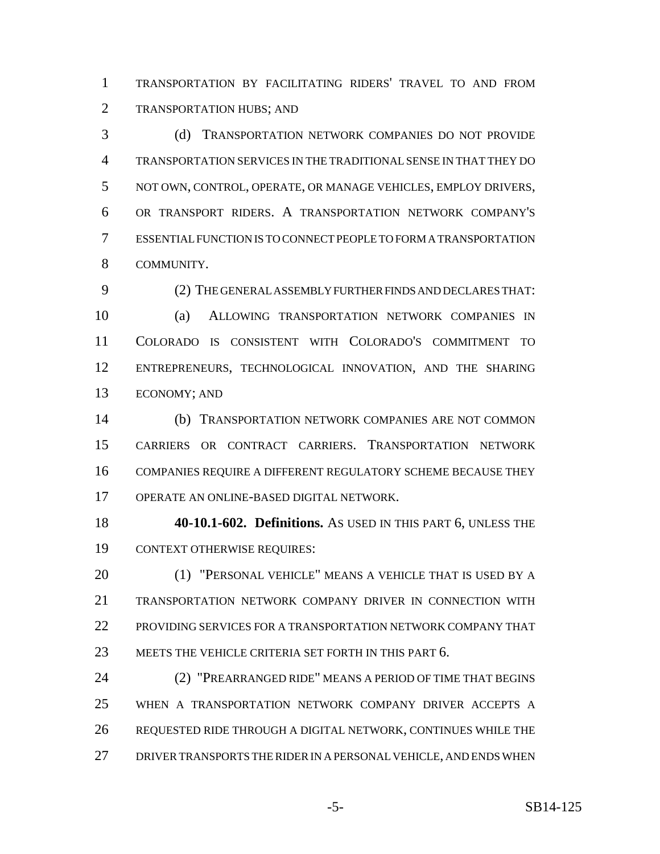TRANSPORTATION BY FACILITATING RIDERS' TRAVEL TO AND FROM TRANSPORTATION HUBS; AND

 (d) TRANSPORTATION NETWORK COMPANIES DO NOT PROVIDE TRANSPORTATION SERVICES IN THE TRADITIONAL SENSE IN THAT THEY DO NOT OWN, CONTROL, OPERATE, OR MANAGE VEHICLES, EMPLOY DRIVERS, OR TRANSPORT RIDERS. A TRANSPORTATION NETWORK COMPANY'S ESSENTIAL FUNCTION IS TO CONNECT PEOPLE TO FORM A TRANSPORTATION COMMUNITY.

 (2) THE GENERAL ASSEMBLY FURTHER FINDS AND DECLARES THAT: (a) ALLOWING TRANSPORTATION NETWORK COMPANIES IN COLORADO IS CONSISTENT WITH COLORADO'S COMMITMENT TO ENTREPRENEURS, TECHNOLOGICAL INNOVATION, AND THE SHARING ECONOMY; AND

 (b) TRANSPORTATION NETWORK COMPANIES ARE NOT COMMON CARRIERS OR CONTRACT CARRIERS. TRANSPORTATION NETWORK COMPANIES REQUIRE A DIFFERENT REGULATORY SCHEME BECAUSE THEY OPERATE AN ONLINE-BASED DIGITAL NETWORK.

 **40-10.1-602. Definitions.** AS USED IN THIS PART 6, UNLESS THE CONTEXT OTHERWISE REQUIRES:

 (1) "PERSONAL VEHICLE" MEANS A VEHICLE THAT IS USED BY A TRANSPORTATION NETWORK COMPANY DRIVER IN CONNECTION WITH PROVIDING SERVICES FOR A TRANSPORTATION NETWORK COMPANY THAT 23 MEETS THE VEHICLE CRITERIA SET FORTH IN THIS PART 6.

 (2) "PREARRANGED RIDE" MEANS A PERIOD OF TIME THAT BEGINS WHEN A TRANSPORTATION NETWORK COMPANY DRIVER ACCEPTS A REQUESTED RIDE THROUGH A DIGITAL NETWORK, CONTINUES WHILE THE 27 DRIVER TRANSPORTS THE RIDER IN A PERSONAL VEHICLE, AND ENDS WHEN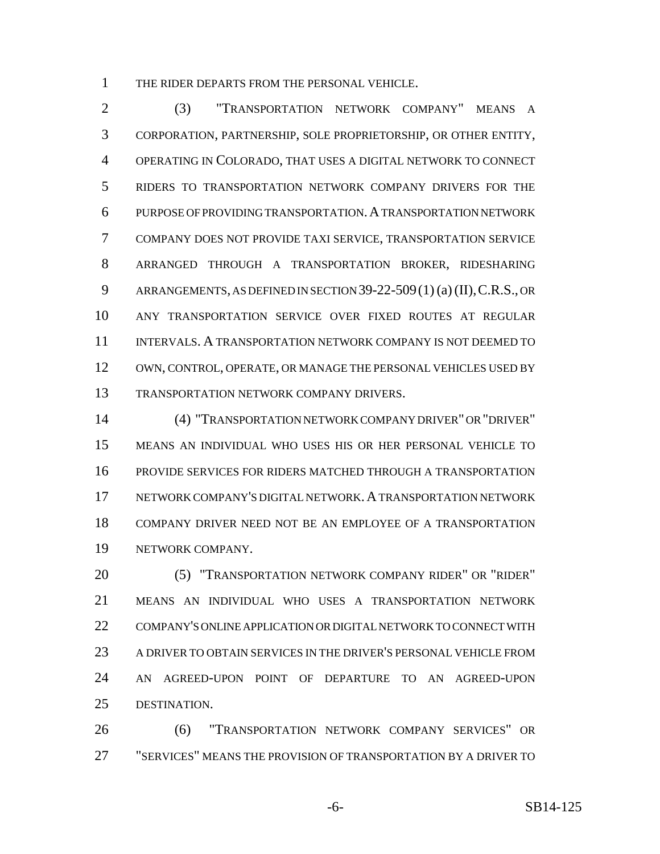THE RIDER DEPARTS FROM THE PERSONAL VEHICLE.

 (3) "TRANSPORTATION NETWORK COMPANY" MEANS A CORPORATION, PARTNERSHIP, SOLE PROPRIETORSHIP, OR OTHER ENTITY, OPERATING IN COLORADO, THAT USES A DIGITAL NETWORK TO CONNECT RIDERS TO TRANSPORTATION NETWORK COMPANY DRIVERS FOR THE PURPOSE OF PROVIDING TRANSPORTATION.A TRANSPORTATION NETWORK COMPANY DOES NOT PROVIDE TAXI SERVICE, TRANSPORTATION SERVICE ARRANGED THROUGH A TRANSPORTATION BROKER, RIDESHARING ARRANGEMENTS, AS DEFINED IN SECTION 39-22-509(1) (a) (II),C.R.S., OR ANY TRANSPORTATION SERVICE OVER FIXED ROUTES AT REGULAR INTERVALS. A TRANSPORTATION NETWORK COMPANY IS NOT DEEMED TO OWN, CONTROL, OPERATE, OR MANAGE THE PERSONAL VEHICLES USED BY TRANSPORTATION NETWORK COMPANY DRIVERS.

 (4) "TRANSPORTATION NETWORK COMPANY DRIVER" OR "DRIVER" MEANS AN INDIVIDUAL WHO USES HIS OR HER PERSONAL VEHICLE TO PROVIDE SERVICES FOR RIDERS MATCHED THROUGH A TRANSPORTATION 17 NETWORK COMPANY'S DIGITAL NETWORK. A TRANSPORTATION NETWORK COMPANY DRIVER NEED NOT BE AN EMPLOYEE OF A TRANSPORTATION NETWORK COMPANY.

 (5) "TRANSPORTATION NETWORK COMPANY RIDER" OR "RIDER" MEANS AN INDIVIDUAL WHO USES A TRANSPORTATION NETWORK COMPANY'S ONLINE APPLICATION OR DIGITAL NETWORK TO CONNECT WITH A DRIVER TO OBTAIN SERVICES IN THE DRIVER'S PERSONAL VEHICLE FROM AN AGREED-UPON POINT OF DEPARTURE TO AN AGREED-UPON DESTINATION.

 (6) "TRANSPORTATION NETWORK COMPANY SERVICES" OR "SERVICES" MEANS THE PROVISION OF TRANSPORTATION BY A DRIVER TO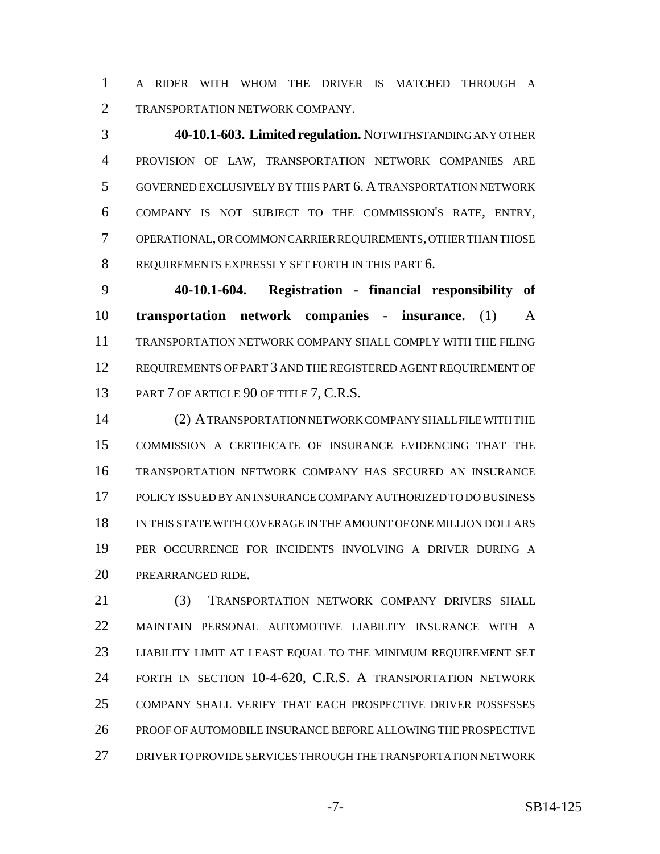A RIDER WITH WHOM THE DRIVER IS MATCHED THROUGH A TRANSPORTATION NETWORK COMPANY.

 **40-10.1-603. Limited regulation.** NOTWITHSTANDING ANY OTHER PROVISION OF LAW, TRANSPORTATION NETWORK COMPANIES ARE GOVERNED EXCLUSIVELY BY THIS PART 6. A TRANSPORTATION NETWORK COMPANY IS NOT SUBJECT TO THE COMMISSION'S RATE, ENTRY, OPERATIONAL, OR COMMON CARRIER REQUIREMENTS, OTHER THAN THOSE REQUIREMENTS EXPRESSLY SET FORTH IN THIS PART 6.

 **40-10.1-604. Registration - financial responsibility of transportation network companies - insurance.** (1) A TRANSPORTATION NETWORK COMPANY SHALL COMPLY WITH THE FILING REQUIREMENTS OF PART 3 AND THE REGISTERED AGENT REQUIREMENT OF 13 PART 7 OF ARTICLE 90 OF TITLE 7, C.R.S.

 (2) A TRANSPORTATION NETWORK COMPANY SHALL FILE WITH THE COMMISSION A CERTIFICATE OF INSURANCE EVIDENCING THAT THE TRANSPORTATION NETWORK COMPANY HAS SECURED AN INSURANCE POLICY ISSUED BY AN INSURANCE COMPANY AUTHORIZED TO DO BUSINESS IN THIS STATE WITH COVERAGE IN THE AMOUNT OF ONE MILLION DOLLARS PER OCCURRENCE FOR INCIDENTS INVOLVING A DRIVER DURING A PREARRANGED RIDE.

 (3) TRANSPORTATION NETWORK COMPANY DRIVERS SHALL MAINTAIN PERSONAL AUTOMOTIVE LIABILITY INSURANCE WITH A LIABILITY LIMIT AT LEAST EQUAL TO THE MINIMUM REQUIREMENT SET FORTH IN SECTION 10-4-620, C.R.S. A TRANSPORTATION NETWORK COMPANY SHALL VERIFY THAT EACH PROSPECTIVE DRIVER POSSESSES PROOF OF AUTOMOBILE INSURANCE BEFORE ALLOWING THE PROSPECTIVE DRIVER TO PROVIDE SERVICES THROUGH THE TRANSPORTATION NETWORK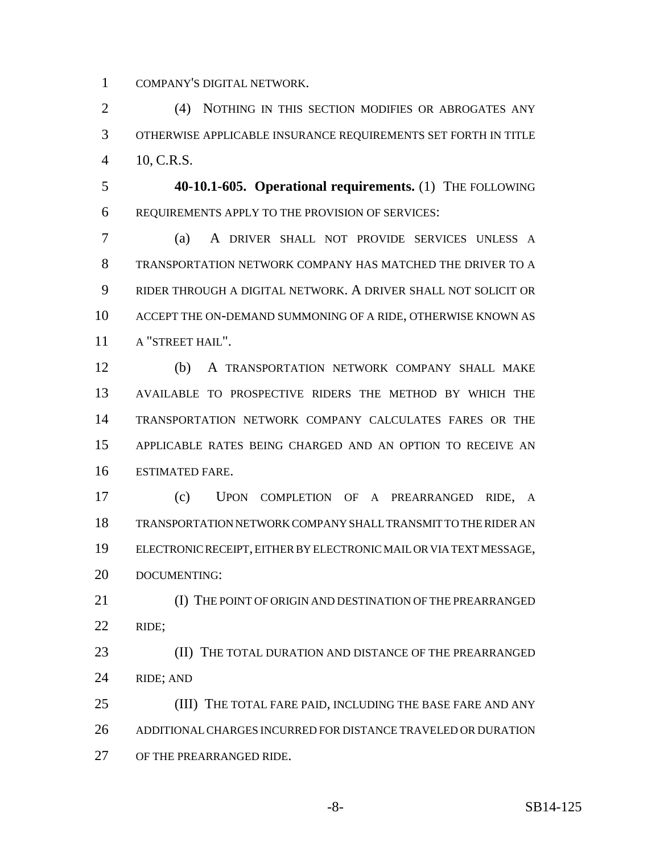COMPANY'S DIGITAL NETWORK.

 (4) NOTHING IN THIS SECTION MODIFIES OR ABROGATES ANY OTHERWISE APPLICABLE INSURANCE REQUIREMENTS SET FORTH IN TITLE 10, C.R.S.

 **40-10.1-605. Operational requirements.** (1) THE FOLLOWING REQUIREMENTS APPLY TO THE PROVISION OF SERVICES:

 (a) A DRIVER SHALL NOT PROVIDE SERVICES UNLESS A TRANSPORTATION NETWORK COMPANY HAS MATCHED THE DRIVER TO A RIDER THROUGH A DIGITAL NETWORK. A DRIVER SHALL NOT SOLICIT OR ACCEPT THE ON-DEMAND SUMMONING OF A RIDE, OTHERWISE KNOWN AS A "STREET HAIL".

 (b) A TRANSPORTATION NETWORK COMPANY SHALL MAKE AVAILABLE TO PROSPECTIVE RIDERS THE METHOD BY WHICH THE TRANSPORTATION NETWORK COMPANY CALCULATES FARES OR THE APPLICABLE RATES BEING CHARGED AND AN OPTION TO RECEIVE AN ESTIMATED FARE.

 (c) UPON COMPLETION OF A PREARRANGED RIDE, A TRANSPORTATION NETWORK COMPANY SHALL TRANSMIT TO THE RIDER AN ELECTRONIC RECEIPT, EITHER BY ELECTRONIC MAIL OR VIA TEXT MESSAGE, DOCUMENTING:

21 (I) THE POINT OF ORIGIN AND DESTINATION OF THE PREARRANGED RIDE;

**(II) THE TOTAL DURATION AND DISTANCE OF THE PREARRANGED** RIDE; AND

25 (III) THE TOTAL FARE PAID, INCLUDING THE BASE FARE AND ANY ADDITIONAL CHARGES INCURRED FOR DISTANCE TRAVELED OR DURATION OF THE PREARRANGED RIDE.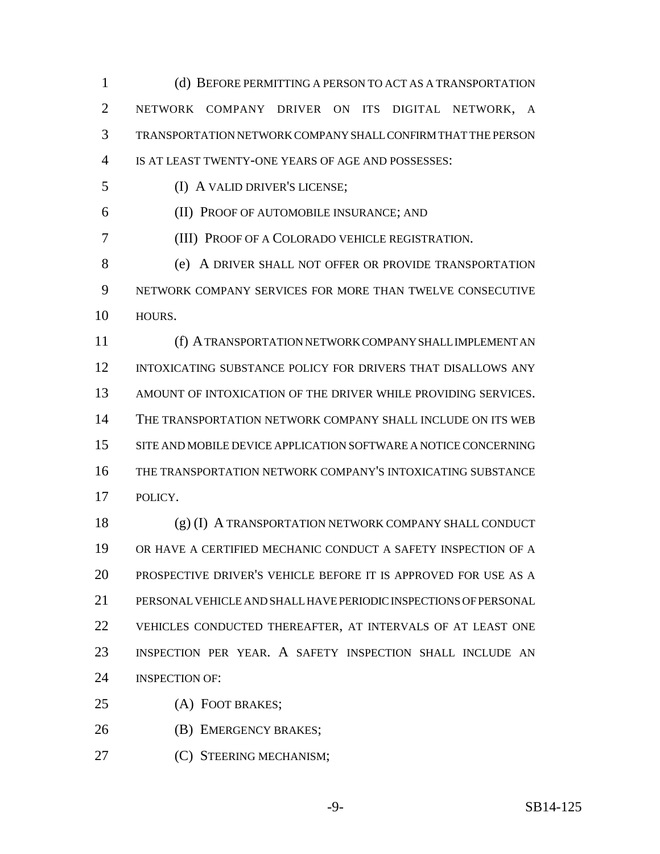(d) BEFORE PERMITTING A PERSON TO ACT AS A TRANSPORTATION NETWORK COMPANY DRIVER ON ITS DIGITAL NETWORK, A TRANSPORTATION NETWORK COMPANY SHALL CONFIRM THAT THE PERSON IS AT LEAST TWENTY-ONE YEARS OF AGE AND POSSESSES: (I) A VALID DRIVER'S LICENSE; (II) PROOF OF AUTOMOBILE INSURANCE; AND (III) PROOF OF A COLORADO VEHICLE REGISTRATION. (e) A DRIVER SHALL NOT OFFER OR PROVIDE TRANSPORTATION NETWORK COMPANY SERVICES FOR MORE THAN TWELVE CONSECUTIVE HOURS. (f) A TRANSPORTATION NETWORK COMPANY SHALL IMPLEMENT AN INTOXICATING SUBSTANCE POLICY FOR DRIVERS THAT DISALLOWS ANY AMOUNT OF INTOXICATION OF THE DRIVER WHILE PROVIDING SERVICES. THE TRANSPORTATION NETWORK COMPANY SHALL INCLUDE ON ITS WEB SITE AND MOBILE DEVICE APPLICATION SOFTWARE A NOTICE CONCERNING THE TRANSPORTATION NETWORK COMPANY'S INTOXICATING SUBSTANCE POLICY. (g) (I) A TRANSPORTATION NETWORK COMPANY SHALL CONDUCT OR HAVE A CERTIFIED MECHANIC CONDUCT A SAFETY INSPECTION OF A PROSPECTIVE DRIVER'S VEHICLE BEFORE IT IS APPROVED FOR USE AS A PERSONAL VEHICLE AND SHALL HAVE PERIODIC INSPECTIONS OF PERSONAL VEHICLES CONDUCTED THEREAFTER, AT INTERVALS OF AT LEAST ONE INSPECTION PER YEAR. A SAFETY INSPECTION SHALL INCLUDE AN INSPECTION OF: (A) FOOT BRAKES; (B) EMERGENCY BRAKES; **(C) STEERING MECHANISM;**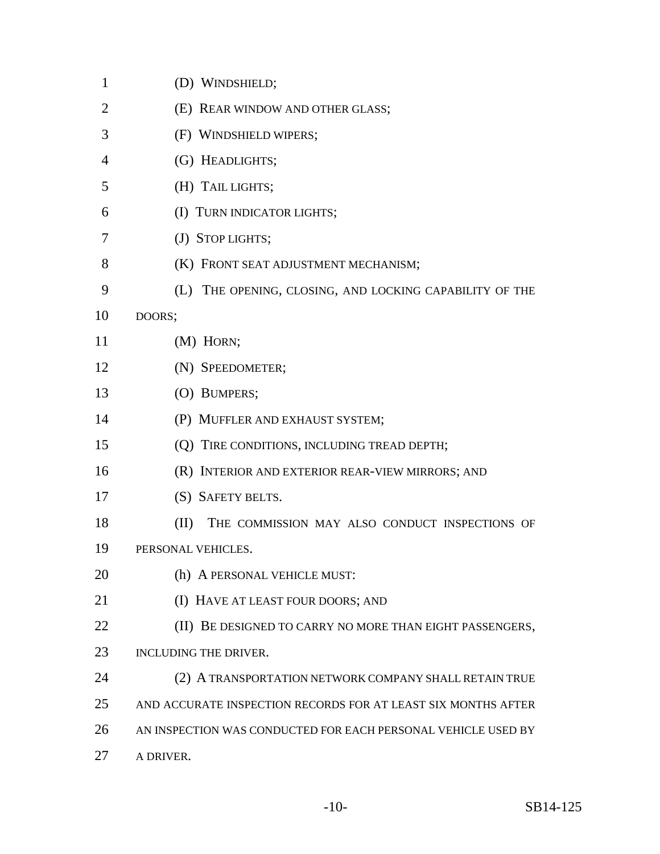| $\mathbf{1}$   | (D) WINDSHIELD;                                               |
|----------------|---------------------------------------------------------------|
| $\overline{2}$ | (E) REAR WINDOW AND OTHER GLASS;                              |
| 3              | (F) WINDSHIELD WIPERS;                                        |
| 4              | (G) HEADLIGHTS;                                               |
| 5              | (H) TAIL LIGHTS;                                              |
| 6              | (I) TURN INDICATOR LIGHTS;                                    |
| 7              | (J) STOP LIGHTS;                                              |
| 8              | (K) FRONT SEAT ADJUSTMENT MECHANISM;                          |
| 9              | (L) THE OPENING, CLOSING, AND LOCKING CAPABILITY OF THE       |
| 10             | DOORS;                                                        |
| 11             | (M) HORN;                                                     |
| 12             | (N) SPEEDOMETER;                                              |
| 13             | (O) BUMPERS;                                                  |
| 14             | (P) MUFFLER AND EXHAUST SYSTEM;                               |
| 15             | (Q) TIRE CONDITIONS, INCLUDING TREAD DEPTH;                   |
| 16             | (R) INTERIOR AND EXTERIOR REAR-VIEW MIRRORS; AND              |
| 17             | (S) SAFETY BELTS.                                             |
| 18             | (II)<br>THE COMMISSION MAY ALSO CONDUCT INSPECTIONS OF        |
| 19             | PERSONAL VEHICLES.                                            |
| 20             | (h) A PERSONAL VEHICLE MUST:                                  |
| 21             | (I) HAVE AT LEAST FOUR DOORS; AND                             |
| 22             | BE DESIGNED TO CARRY NO MORE THAN EIGHT PASSENGERS,<br>(II)   |
| 23             | INCLUDING THE DRIVER.                                         |
| 24             | (2) A TRANSPORTATION NETWORK COMPANY SHALL RETAIN TRUE        |
| 25             | AND ACCURATE INSPECTION RECORDS FOR AT LEAST SIX MONTHS AFTER |
| 26             | AN INSPECTION WAS CONDUCTED FOR EACH PERSONAL VEHICLE USED BY |
| 27             | A DRIVER.                                                     |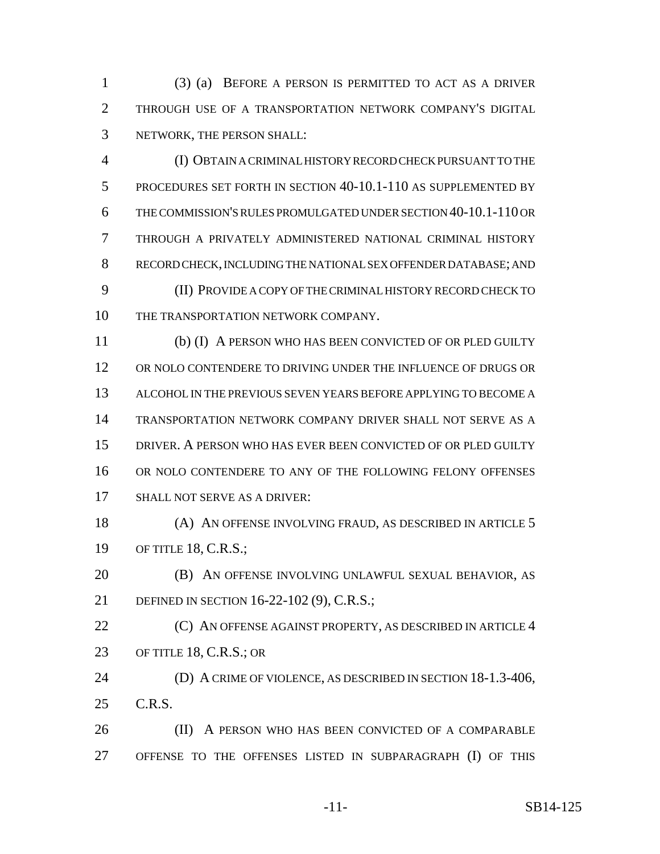(3) (a) BEFORE A PERSON IS PERMITTED TO ACT AS A DRIVER THROUGH USE OF A TRANSPORTATION NETWORK COMPANY'S DIGITAL NETWORK, THE PERSON SHALL:

 (I) OBTAIN A CRIMINAL HISTORY RECORD CHECK PURSUANT TO THE PROCEDURES SET FORTH IN SECTION 40-10.1-110 AS SUPPLEMENTED BY THE COMMISSION'S RULES PROMULGATED UNDER SECTION 40-10.1-110 OR THROUGH A PRIVATELY ADMINISTERED NATIONAL CRIMINAL HISTORY RECORD CHECK, INCLUDING THE NATIONAL SEX OFFENDER DATABASE; AND (II) PROVIDE A COPY OF THE CRIMINAL HISTORY RECORD CHECK TO 10 THE TRANSPORTATION NETWORK COMPANY.

 (b) (I) A PERSON WHO HAS BEEN CONVICTED OF OR PLED GUILTY OR NOLO CONTENDERE TO DRIVING UNDER THE INFLUENCE OF DRUGS OR ALCOHOL IN THE PREVIOUS SEVEN YEARS BEFORE APPLYING TO BECOME A TRANSPORTATION NETWORK COMPANY DRIVER SHALL NOT SERVE AS A DRIVER. A PERSON WHO HAS EVER BEEN CONVICTED OF OR PLED GUILTY OR NOLO CONTENDERE TO ANY OF THE FOLLOWING FELONY OFFENSES SHALL NOT SERVE AS A DRIVER:

 (A) AN OFFENSE INVOLVING FRAUD, AS DESCRIBED IN ARTICLE 5 OF TITLE 18, C.R.S.;

 (B) AN OFFENSE INVOLVING UNLAWFUL SEXUAL BEHAVIOR, AS DEFINED IN SECTION 16-22-102 (9), C.R.S.;

**(C) AN OFFENSE AGAINST PROPERTY, AS DESCRIBED IN ARTICLE 4** OF TITLE 18, C.R.S.; OR

 (D) A CRIME OF VIOLENCE, AS DESCRIBED IN SECTION 18-1.3-406, C.R.S.

**(II)** A PERSON WHO HAS BEEN CONVICTED OF A COMPARABLE OFFENSE TO THE OFFENSES LISTED IN SUBPARAGRAPH (I) OF THIS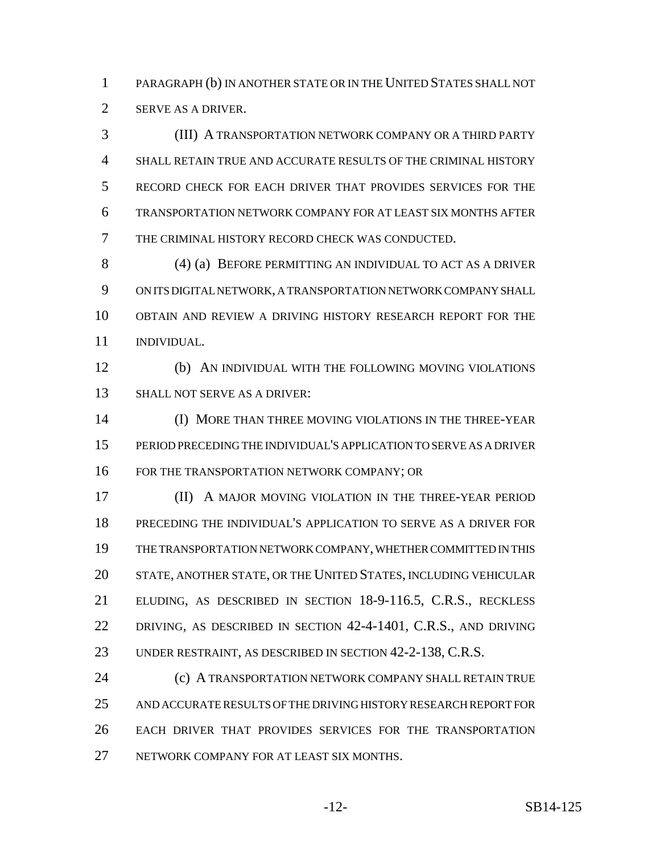PARAGRAPH (b) IN ANOTHER STATE OR IN THE UNITED STATES SHALL NOT SERVE AS A DRIVER.

 (III) A TRANSPORTATION NETWORK COMPANY OR A THIRD PARTY SHALL RETAIN TRUE AND ACCURATE RESULTS OF THE CRIMINAL HISTORY RECORD CHECK FOR EACH DRIVER THAT PROVIDES SERVICES FOR THE TRANSPORTATION NETWORK COMPANY FOR AT LEAST SIX MONTHS AFTER THE CRIMINAL HISTORY RECORD CHECK WAS CONDUCTED.

 (4) (a) BEFORE PERMITTING AN INDIVIDUAL TO ACT AS A DRIVER ON ITS DIGITAL NETWORK, A TRANSPORTATION NETWORK COMPANY SHALL OBTAIN AND REVIEW A DRIVING HISTORY RESEARCH REPORT FOR THE INDIVIDUAL.

 (b) AN INDIVIDUAL WITH THE FOLLOWING MOVING VIOLATIONS SHALL NOT SERVE AS A DRIVER:

 (I) MORE THAN THREE MOVING VIOLATIONS IN THE THREE-YEAR PERIOD PRECEDING THE INDIVIDUAL'S APPLICATION TO SERVE AS A DRIVER FOR THE TRANSPORTATION NETWORK COMPANY; OR

 (II) A MAJOR MOVING VIOLATION IN THE THREE-YEAR PERIOD PRECEDING THE INDIVIDUAL'S APPLICATION TO SERVE AS A DRIVER FOR THE TRANSPORTATION NETWORK COMPANY, WHETHER COMMITTED IN THIS STATE, ANOTHER STATE, OR THE UNITED STATES, INCLUDING VEHICULAR ELUDING, AS DESCRIBED IN SECTION 18-9-116.5, C.R.S., RECKLESS DRIVING, AS DESCRIBED IN SECTION 42-4-1401, C.R.S., AND DRIVING UNDER RESTRAINT, AS DESCRIBED IN SECTION 42-2-138, C.R.S.

**(c) A TRANSPORTATION NETWORK COMPANY SHALL RETAIN TRUE**  AND ACCURATE RESULTS OF THE DRIVING HISTORY RESEARCH REPORT FOR EACH DRIVER THAT PROVIDES SERVICES FOR THE TRANSPORTATION 27 NETWORK COMPANY FOR AT LEAST SIX MONTHS.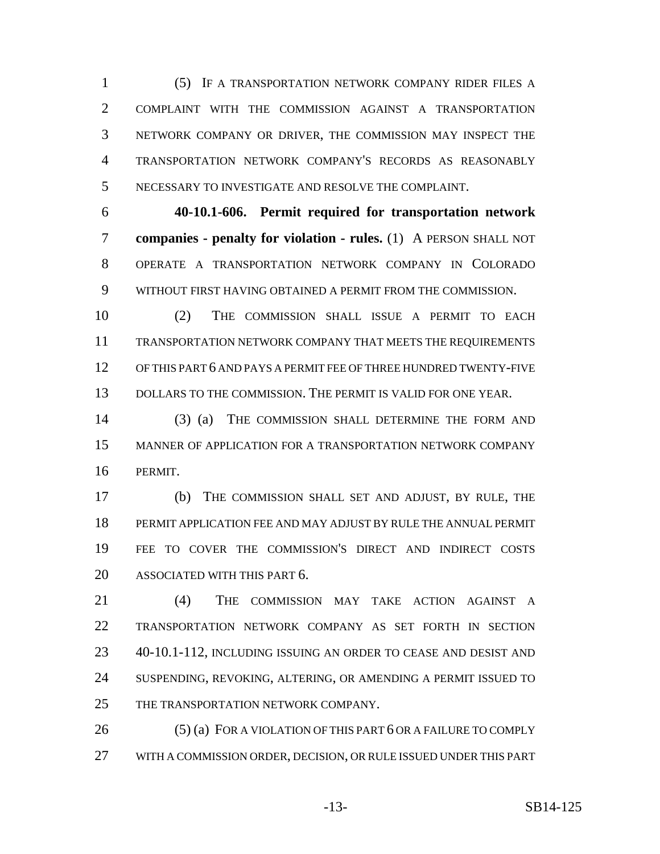(5) IF A TRANSPORTATION NETWORK COMPANY RIDER FILES A COMPLAINT WITH THE COMMISSION AGAINST A TRANSPORTATION NETWORK COMPANY OR DRIVER, THE COMMISSION MAY INSPECT THE TRANSPORTATION NETWORK COMPANY'S RECORDS AS REASONABLY NECESSARY TO INVESTIGATE AND RESOLVE THE COMPLAINT.

 **40-10.1-606. Permit required for transportation network companies - penalty for violation - rules.** (1) A PERSON SHALL NOT OPERATE A TRANSPORTATION NETWORK COMPANY IN COLORADO WITHOUT FIRST HAVING OBTAINED A PERMIT FROM THE COMMISSION.

 (2) THE COMMISSION SHALL ISSUE A PERMIT TO EACH TRANSPORTATION NETWORK COMPANY THAT MEETS THE REQUIREMENTS OF THIS PART 6 AND PAYS A PERMIT FEE OF THREE HUNDRED TWENTY-FIVE DOLLARS TO THE COMMISSION. THE PERMIT IS VALID FOR ONE YEAR.

 (3) (a) THE COMMISSION SHALL DETERMINE THE FORM AND MANNER OF APPLICATION FOR A TRANSPORTATION NETWORK COMPANY PERMIT.

 (b) THE COMMISSION SHALL SET AND ADJUST, BY RULE, THE PERMIT APPLICATION FEE AND MAY ADJUST BY RULE THE ANNUAL PERMIT FEE TO COVER THE COMMISSION'S DIRECT AND INDIRECT COSTS ASSOCIATED WITH THIS PART 6.

 (4) THE COMMISSION MAY TAKE ACTION AGAINST A TRANSPORTATION NETWORK COMPANY AS SET FORTH IN SECTION 40-10.1-112, INCLUDING ISSUING AN ORDER TO CEASE AND DESIST AND SUSPENDING, REVOKING, ALTERING, OR AMENDING A PERMIT ISSUED TO 25 THE TRANSPORTATION NETWORK COMPANY.

26 (5) (a) FOR A VIOLATION OF THIS PART 6 OR A FAILURE TO COMPLY WITH A COMMISSION ORDER, DECISION, OR RULE ISSUED UNDER THIS PART